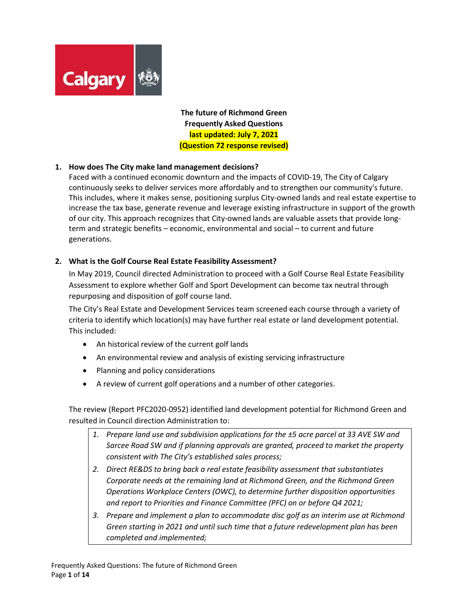

**The future of Richmond Green Frequently Asked Questions last updated: July 7, 2021 (Question 72 response revised)**

### **1. How does The City make land management decisions?**

Faced with a continued economic downturn and the impacts of COVID-19, The City of Calgary continuously seeks to deliver services more affordably and to strengthen our community's future. This includes, where it makes sense, positioning surplus City-owned lands and real estate expertise to increase the tax base, generate revenue and leverage existing infrastructure in support of the growth of our city. This approach recognizes that City-owned lands are valuable assets that provide longterm and strategic benefits – economic, environmental and social – to current and future generations.

### **2. What is the Golf Course Real Estate Feasibility Assessment?**

In May 2019, Council directed Administration to proceed with a Golf Course Real Estate Feasibility Assessment to explore whether Golf and Sport Development can become tax neutral through repurposing and disposition of golf course land.

The City's Real Estate and Development Services team screened each course through a variety of criteria to identify which location(s) may have further real estate or land development potential. This included:

- An historical review of the current golf lands
- An environmental review and analysis of existing servicing infrastructure
- Planning and policy considerations
- A review of current golf operations and a number of other categories.

The review (Report PFC2020-0952) identified land development potential for Richmond Green and resulted in Council direction Administration to:

- *1. Prepare land use and subdivision applications for the ±5 acre parcel at 33 AVE SW and Sarcee Road SW and if planning approvals are granted, proceed to market the property consistent with The City's established sales process;*
- *2. Direct RE&DS to bring back a real estate feasibility assessment that substantiates Corporate needs at the remaining land at Richmond Green, and the Richmond Green Operations Workplace Centers (OWC), to determine further disposition opportunities and report to Priorities and Finance Committee (PFC) on or before Q4 2021;*
- *3. Prepare and implement a plan to accommodate disc golf as an interim use at Richmond Green starting in 2021 and until such time that a future redevelopment plan has been completed and implemented;*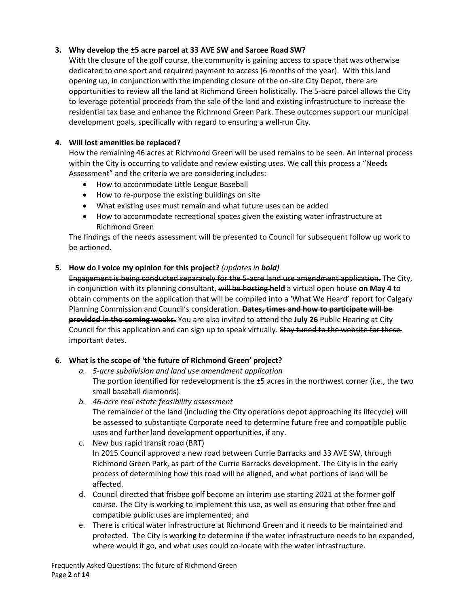# **3. Why develop the ±5 acre parcel at 33 AVE SW and Sarcee Road SW?**

With the closure of the golf course, the community is gaining access to space that was otherwise dedicated to one sport and required payment to access (6 months of the year). With this land opening up, in conjunction with the impending closure of the on-site City Depot, there are opportunities to review all the land at Richmond Green holistically. The 5-acre parcel allows the City to leverage potential proceeds from the sale of the land and existing infrastructure to increase the residential tax base and enhance the Richmond Green Park. These outcomes support our municipal development goals, specifically with regard to ensuring a well-run City.

# **4. Will lost amenities be replaced?**

How the remaining 46 acres at Richmond Green will be used remains to be seen. An internal process within the City is occurring to validate and review existing uses. We call this process a "Needs Assessment" and the criteria we are considering includes:

- How to accommodate Little League Baseball
- How to re-purpose the existing buildings on site
- What existing uses must remain and what future uses can be added
- How to accommodate recreational spaces given the existing water infrastructure at Richmond Green

The findings of the needs assessment will be presented to Council for subsequent follow up work to be actioned.

## **5. How do I voice my opinion for this project?** *(updates in bold)*

Engagement is being conducted separately for the 5-acre land use amendment application. The City, in conjunction with its planning consultant, will be hosting **held** a virtual open house **on May 4** to obtain comments on the application that will be compiled into a 'What We Heard' report for Calgary Planning Commission and Council's consideration. **Dates, times and how to participate will be provided in the coming weeks.** You are also invited to attend the **July 26** Public Hearing at City Council for this application and can sign up to speak virtually. Stay tuned to the website for these important dates.

# **6. What is the scope of 'the future of Richmond Green' project?**

- *a. 5-acre subdivision and land use amendment application* The portion identified for redevelopment is the ±5 acres in the northwest corner (i.e., the two small baseball diamonds).
- *b. 46-acre real estate feasibility assessment* The remainder of the land (including the City operations depot approaching its lifecycle) will be assessed to substantiate Corporate need to determine future free and compatible public uses and further land development opportunities, if any.
- c. New bus rapid transit road (BRT) In 2015 Council approved a new road between Currie Barracks and 33 AVE SW, through Richmond Green Park, as part of the Currie Barracks development. The City is in the early process of determining how this road will be aligned, and what portions of land will be affected.
- d. Council directed that frisbee golf become an interim use starting 2021 at the former golf course. The City is working to implement this use, as well as ensuring that other free and compatible public uses are implemented; and
- e. There is critical water infrastructure at Richmond Green and it needs to be maintained and protected. The City is working to determine if the water infrastructure needs to be expanded, where would it go, and what uses could co-locate with the water infrastructure.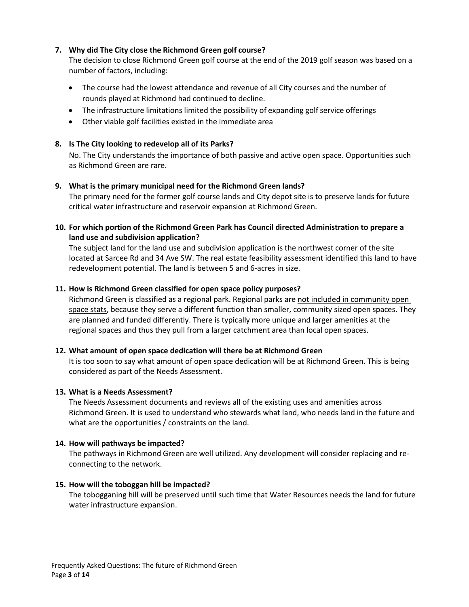### **7. Why did The City close the Richmond Green golf course?**

The decision to close Richmond Green golf course at the end of the 2019 golf season was based on a number of factors, including:

- The course had the lowest attendance and revenue of all City courses and the number of rounds played at Richmond had continued to decline.
- The infrastructure limitations limited the possibility of expanding golf service offerings
- Other viable golf facilities existed in the immediate area

### **8. Is The City looking to redevelop all of its Parks?**

No. The City understands the importance of both passive and active open space. Opportunities such as Richmond Green are rare.

### **9. What is the primary municipal need for the Richmond Green lands?**

The primary need for the former golf course lands and City depot site is to preserve lands for future critical water infrastructure and reservoir expansion at Richmond Green.

**10. For which portion of the Richmond Green Park has Council directed Administration to prepare a land use and subdivision application?**

The subject land for the land use and subdivision application is the northwest corner of the site located at Sarcee Rd and 34 Ave SW. The real estate feasibility assessment identified this land to have redevelopment potential. The land is between 5 and 6-acres in size.

### **11. How is Richmond Green classified for open space policy purposes?**

Richmond Green is classified as a regional park. Regional parks are not included in community open space stats, because they serve a different function than smaller, community sized open spaces. They are planned and funded differently. There is typically more unique and larger amenities at the regional spaces and thus they pull from a larger catchment area than local open spaces.

#### **12. What amount of open space dedication will there be at Richmond Green**

It is too soon to say what amount of open space dedication will be at Richmond Green. This is being considered as part of the Needs Assessment.

#### **13. What is a Needs Assessment?**

The Needs Assessment documents and reviews all of the existing uses and amenities across Richmond Green. It is used to understand who stewards what land, who needs land in the future and what are the opportunities / constraints on the land.

#### **14. How will pathways be impacted?**

The pathways in Richmond Green are well utilized. Any development will consider replacing and reconnecting to the network.

#### **15. How will the toboggan hill be impacted?**

The tobogganing hill will be preserved until such time that Water Resources needs the land for future water infrastructure expansion.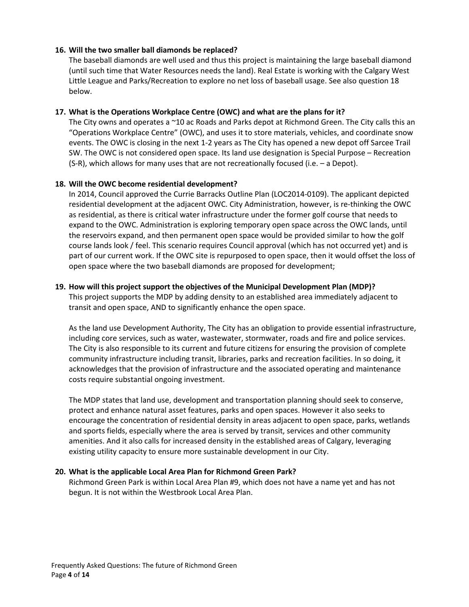### **16. Will the two smaller ball diamonds be replaced?**

The baseball diamonds are well used and thus this project is maintaining the large baseball diamond (until such time that Water Resources needs the land). Real Estate is working with the Calgary West Little League and Parks/Recreation to explore no net loss of baseball usage. See also question 18 below.

### **17. What is the Operations Workplace Centre (OWC) and what are the plans for it?**

The City owns and operates a ~10 ac Roads and Parks depot at Richmond Green. The City calls this an "Operations Workplace Centre" (OWC), and uses it to store materials, vehicles, and coordinate snow events. The OWC is closing in the next 1-2 years as The City has opened a new depot off Sarcee Trail SW. The OWC is not considered open space. Its land use designation is Special Purpose – Recreation (S-R), which allows for many uses that are not recreationally focused (i.e. – a Depot).

### **18. Will the OWC become residential development?**

In 2014, Council approved the Currie Barracks Outline Plan (LOC2014-0109). The applicant depicted residential development at the adjacent OWC. City Administration, however, is re-thinking the OWC as residential, as there is critical water infrastructure under the former golf course that needs to expand to the OWC. Administration is exploring temporary open space across the OWC lands, until the reservoirs expand, and then permanent open space would be provided similar to how the golf course lands look / feel. This scenario requires Council approval (which has not occurred yet) and is part of our current work. If the OWC site is repurposed to open space, then it would offset the loss of open space where the two baseball diamonds are proposed for development;

### **19. How will this project support the objectives of the Municipal Development Plan (MDP)?**

This project supports the MDP by adding density to an established area immediately adjacent to transit and open space, AND to significantly enhance the open space.

As the land use Development Authority, The City has an obligation to provide essential infrastructure, including core services, such as water, wastewater, stormwater, roads and fire and police services. The City is also responsible to its current and future citizens for ensuring the provision of complete community infrastructure including transit, libraries, parks and recreation facilities. In so doing, it acknowledges that the provision of infrastructure and the associated operating and maintenance costs require substantial ongoing investment.

The MDP states that land use, development and transportation planning should seek to conserve, protect and enhance natural asset features, parks and open spaces. However it also seeks to encourage the concentration of residential density in areas adjacent to open space, parks, wetlands and sports fields, especially where the area is served by transit, services and other community amenities. And it also calls for increased density in the established areas of Calgary, leveraging existing utility capacity to ensure more sustainable development in our City.

## **20. What is the applicable Local Area Plan for Richmond Green Park?**

Richmond Green Park is within Local Area Plan #9, which does not have a name yet and has not begun. It is not within the Westbrook Local Area Plan.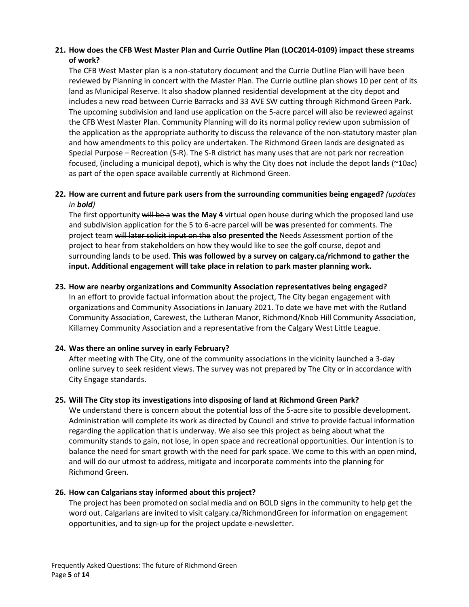## **21. How does the CFB West Master Plan and Currie Outline Plan (LOC2014-0109) impact these streams of work?**

The CFB West Master plan is a non-statutory document and the Currie Outline Plan will have been reviewed by Planning in concert with the Master Plan. The Currie outline plan shows 10 per cent of its land as Municipal Reserve. It also shadow planned residential development at the city depot and includes a new road between Currie Barracks and 33 AVE SW cutting through Richmond Green Park. The upcoming subdivision and land use application on the 5-acre parcel will also be reviewed against the CFB West Master Plan. Community Planning will do its normal policy review upon submission of the application as the appropriate authority to discuss the relevance of the non-statutory master plan and how amendments to this policy are undertaken. The Richmond Green lands are designated as Special Purpose – Recreation (S-R). The S-R district has many uses that are not park nor recreation focused, (including a municipal depot), which is why the City does not include the depot lands (~10ac) as part of the open space available currently at Richmond Green.

## **22. How are current and future park users from the surrounding communities being engaged?** *(updates in bold)*

The first opportunity will be a **was the May 4** virtual open house during which the proposed land use and subdivision application for the 5 to 6-acre parcel will be **was** presented for comments. The project team will later solicit input on the **also presented the** Needs Assessment portion of the project to hear from stakeholders on how they would like to see the golf course, depot and surrounding lands to be used. **This was followed by a survey on calgary.ca/richmond to gather the input. Additional engagement will take place in relation to park master planning work.**

### **23. How are nearby organizations and Community Association representatives being engaged?**

In an effort to provide factual information about the project, The City began engagement with organizations and Community Associations in January 2021. To date we have met with the Rutland Community Association, Carewest, the Lutheran Manor, Richmond/Knob Hill Community Association, Killarney Community Association and a representative from the Calgary West Little League.

## **24. Was there an online survey in early February?**

After meeting with The City, one of the community associations in the vicinity launched a 3-day online survey to seek resident views. The survey was not prepared by The City or in accordance with City Engage standards.

#### **25. Will The City stop its investigations into disposing of land at Richmond Green Park?**

We understand there is concern about the potential loss of the 5-acre site to possible development. Administration will complete its work as directed by Council and strive to provide factual information regarding the application that is underway. We also see this project as being about what the community stands to gain, not lose, in open space and recreational opportunities. Our intention is to balance the need for smart growth with the need for park space. We come to this with an open mind, and will do our utmost to address, mitigate and incorporate comments into the planning for Richmond Green.

## **26. How can Calgarians stay informed about this project?**

The project has been promoted on social media and on BOLD signs in the community to help get the word out. Calgarians are invited to visit calgary.ca/RichmondGreen for information on engagement opportunities, and to sign-up for the project update e-newsletter.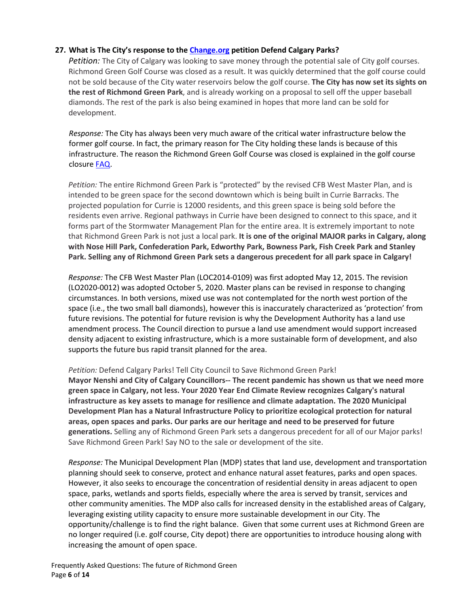### **27. What is The City's response to th[e Change.org](https://www.change.org/p/calgary-city-council-defend-calgary-parks) petition Defend Calgary Parks?**

*Petition:* The City of Calgary was looking to save money through the potential sale of City golf courses. Richmond Green Golf Course was closed as a result. It was quickly determined that the golf course could not be sold because of the City water reservoirs below the golf course. **The City has now set its sights on the rest of Richmond Green Park**, and is already working on a proposal to sell off the upper baseball diamonds. The rest of the park is also being examined in hopes that more land can be sold for development.

*Response:* The City has always been very much aware of the critical water infrastructure below the former golf course. In fact, the primary reason for The City holding these lands is because of this infrastructure. The reason the Richmond Green Golf Course was closed is explained in the golf course closure [FAQ.](https://www.calgary.ca/content/dam/www/csps/recreation/documents/golf-courses/richmond-green-golf-course-closure.pdf)

*Petition:* The entire Richmond Green Park is "protected" by the revised CFB West Master Plan, and is intended to be green space for the second downtown which is being built in Currie Barracks. The projected population for Currie is 12000 residents, and this green space is being sold before the residents even arrive. Regional pathways in Currie have been designed to connect to this space, and it forms part of the Stormwater Management Plan for the entire area. It is extremely important to note that Richmond Green Park is not just a local park. **It is one of the original MAJOR parks in Calgary, along with Nose Hill Park, Confederation Park, Edworthy Park, Bowness Park, Fish Creek Park and Stanley Park. Selling any of Richmond Green Park sets a dangerous precedent for all park space in Calgary!**

*Response:* The CFB West Master Plan (LOC2014-0109) was first adopted May 12, 2015. The revision (LO2020-0012) was adopted October 5, 2020. Master plans can be revised in response to changing circumstances. In both versions, mixed use was not contemplated for the north west portion of the space (i.e., the two small ball diamonds), however this is inaccurately characterized as 'protection' from future revisions. The potential for future revision is why the Development Authority has a land use amendment process. The Council direction to pursue a land use amendment would support increased density adjacent to existing infrastructure, which is a more sustainable form of development, and also supports the future bus rapid transit planned for the area.

#### *Petition:* Defend Calgary Parks! Tell City Council to Save Richmond Green Park!

**Mayor Nenshi and City of Calgary Councillors-- The recent pandemic has shown us that we need more green space in Calgary, not less. Your 2020 Year End Climate Review recognizes Calgary's natural infrastructure as key assets to manage for resilience and climate adaptation. The 2020 Municipal Development Plan has a Natural Infrastructure Policy to prioritize ecological protection for natural areas, open spaces and parks. Our parks are our heritage and need to be preserved for future generations.** Selling any of Richmond Green Park sets a dangerous precedent for all of our Major parks! Save Richmond Green Park! Say NO to the sale or development of the site.

*Response:* The Municipal Development Plan (MDP) states that land use, development and transportation planning should seek to conserve, protect and enhance natural asset features, parks and open spaces. However, it also seeks to encourage the concentration of residential density in areas adjacent to open space, parks, wetlands and sports fields, especially where the area is served by transit, services and other community amenities. The MDP also calls for increased density in the established areas of Calgary, leveraging existing utility capacity to ensure more sustainable development in our City. The opportunity/challenge is to find the right balance. Given that some current uses at Richmond Green are no longer required (i.e. golf course, City depot) there are opportunities to introduce housing along with increasing the amount of open space.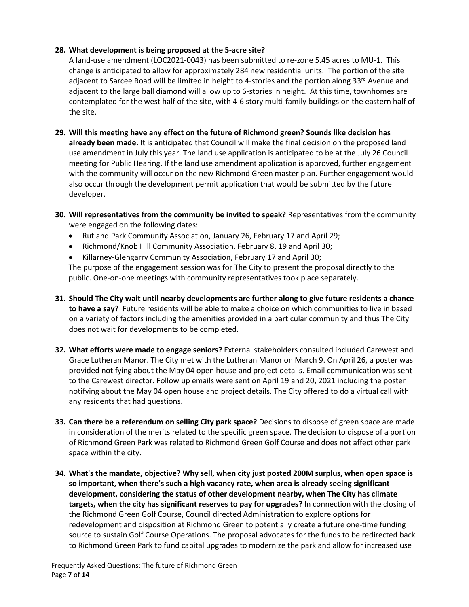### **28. What development is being proposed at the 5-acre site?**

A land-use amendment (LOC2021-0043) has been submitted to re-zone 5.45 acres to MU-1. This change is anticipated to allow for approximately 284 new residential units. The portion of the site adjacent to Sarcee Road will be limited in height to 4-stories and the portion along  $33^{\text{rd}}$  Avenue and adjacent to the large ball diamond will allow up to 6-stories in height. At this time, townhomes are contemplated for the west half of the site, with 4-6 story multi-family buildings on the eastern half of the site.

- **29. Will this meeting have any effect on the future of Richmond green? Sounds like decision has already been made.** It is anticipated that Council will make the final decision on the proposed land use amendment in July this year. The land use application is anticipated to be at the July 26 Council meeting for Public Hearing. If the land use amendment application is approved, further engagement with the community will occur on the new Richmond Green master plan. Further engagement would also occur through the development permit application that would be submitted by the future developer.
- **30. Will representatives from the community be invited to speak?** Representatives from the community were engaged on the following dates:
	- Rutland Park Community Association, January 26, February 17 and April 29;
	- Richmond/Knob Hill Community Association, February 8, 19 and April 30;
	- Killarney-Glengarry Community Association, February 17 and April 30;

The purpose of the engagement session was for The City to present the proposal directly to the public. One-on-one meetings with community representatives took place separately.

- **31. Should The City wait until nearby developments are further along to give future residents a chance to have a say?** Future residents will be able to make a choice on which communities to live in based on a variety of factors including the amenities provided in a particular community and thus The City does not wait for developments to be completed.
- **32. What efforts were made to engage seniors?** External stakeholders consulted included Carewest and Grace Lutheran Manor. The City met with the Lutheran Manor on March 9. On April 26, a poster was provided notifying about the May 04 open house and project details. Email communication was sent to the Carewest director. Follow up emails were sent on April 19 and 20, 2021 including the poster notifying about the May 04 open house and project details. The City offered to do a virtual call with any residents that had questions.
- **33. Can there be a referendum on selling City park space?** Decisions to dispose of green space are made in consideration of the merits related to the specific green space. The decision to dispose of a portion of Richmond Green Park was related to Richmond Green Golf Course and does not affect other park space within the city.
- **34. What's the mandate, objective? Why sell, when city just posted 200M surplus, when open space is so important, when there's such a high vacancy rate, when area is already seeing significant development, considering the status of other development nearby, when The City has climate targets, when the city has significant reserves to pay for upgrades?** In connection with the closing of the Richmond Green Golf Course, Council directed Administration to explore options for redevelopment and disposition at Richmond Green to potentially create a future one-time funding source to sustain Golf Course Operations. The proposal advocates for the funds to be redirected back to Richmond Green Park to fund capital upgrades to modernize the park and allow for increased use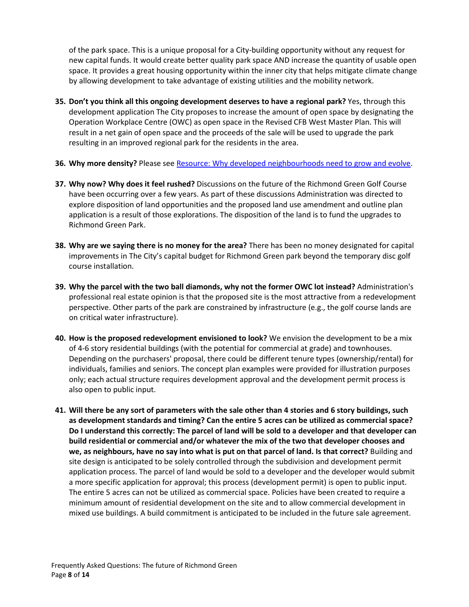of the park space. This is a unique proposal for a City-building opportunity without any request for new capital funds. It would create better quality park space AND increase the quantity of usable open space. It provides a great housing opportunity within the inner city that helps mitigate climate change by allowing development to take advantage of existing utilities and the mobility network.

- **35. Don't you think all this ongoing development deserves to have a regional park?** Yes, through this development application The City proposes to increase the amount of open space by designating the Operation Workplace Centre (OWC) as open space in the Revised CFB West Master Plan. This will result in a net gain of open space and the proceeds of the sale will be used to upgrade the park resulting in an improved regional park for the residents in the area.
- **36. Why more density?** Please see [Resource: Why developed neighbourhoods need to grow and evolve.](https://www.calgary.ca/content/dam/www/pda/pd/documents/community-outreach/community-08-resource-whydevelopmentneighbourhoodsneedtoevolve.pdf)
- **37. Why now? Why does it feel rushed?** Discussions on the future of the Richmond Green Golf Course have been occurring over a few years. As part of these discussions Administration was directed to explore disposition of land opportunities and the proposed land use amendment and outline plan application is a result of those explorations. The disposition of the land is to fund the upgrades to Richmond Green Park.
- **38. Why are we saying there is no money for the area?** There has been no money designated for capital improvements in The City's capital budget for Richmond Green park beyond the temporary disc golf course installation.
- **39. Why the parcel with the two ball diamonds, why not the former OWC lot instead?** Administration's professional real estate opinion is that the proposed site is the most attractive from a redevelopment perspective. Other parts of the park are constrained by infrastructure (e.g., the golf course lands are on critical water infrastructure).
- **40. How is the proposed redevelopment envisioned to look?** We envision the development to be a mix of 4-6 story residential buildings (with the potential for commercial at grade) and townhouses. Depending on the purchasers' proposal, there could be different tenure types (ownership/rental) for individuals, families and seniors. The concept plan examples were provided for illustration purposes only; each actual structure requires development approval and the development permit process is also open to public input.
- **41. Will there be any sort of parameters with the sale other than 4 stories and 6 story buildings, such as development standards and timing? Can the entire 5 acres can be utilized as commercial space? Do I understand this correctly: The parcel of land will be sold to a developer and that developer can build residential or commercial and/or whatever the mix of the two that developer chooses and we, as neighbours, have no say into what is put on that parcel of land. Is that correct?** Building and site design is anticipated to be solely controlled through the subdivision and development permit application process. The parcel of land would be sold to a developer and the developer would submit a more specific application for approval; this process (development permit) is open to public input. The entire 5 acres can not be utilized as commercial space. Policies have been created to require a minimum amount of residential development on the site and to allow commercial development in mixed use buildings. A build commitment is anticipated to be included in the future sale agreement.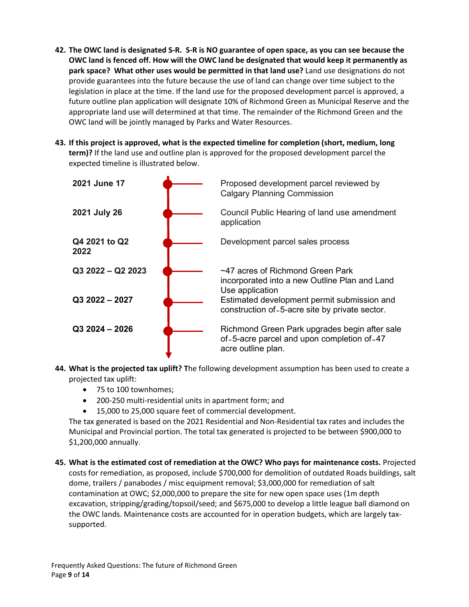- **42. The OWC land is designated S-R. S-R is NO guarantee of open space, as you can see because the OWC land is fenced off. How will the OWC land be designated that would keep it permanently as park space? What other uses would be permitted in that land use?** Land use designations do not provide guarantees into the future because the use of land can change over time subject to the legislation in place at the time. If the land use for the proposed development parcel is approved, a future outline plan application will designate 10% of Richmond Green as Municipal Reserve and the appropriate land use will determined at that time. The remainder of the Richmond Green and the OWC land will be jointly managed by Parks and Water Resources.
- **43. If this project is approved, what is the expected timeline for completion (short, medium, long term)?** If the land use and outline plan is approved for the proposed development parcel the expected timeline is illustrated below.



- **44. What is the projected tax uplift? T**he following development assumption has been used to create a projected tax uplift:
	- 75 to 100 townhomes;
	- 200-250 multi-residential units in apartment form; and
	- 15,000 to 25,000 square feet of commercial development.

The tax generated is based on the 2021 Residential and Non-Residential tax rates and includes the Municipal and Provincial portion. The total tax generated is projected to be between \$900,000 to \$1,200,000 annually.

**45. What is the estimated cost of remediation at the OWC? Who pays for maintenance costs.** Projected costs for remediation, as proposed, include \$700,000 for demolition of outdated Roads buildings, salt dome, trailers / panabodes / misc equipment removal; \$3,000,000 for remediation of salt contamination at OWC; \$2,000,000 to prepare the site for new open space uses (1m depth excavation, stripping/grading/topsoil/seed; and \$675,000 to develop a little league ball diamond on the OWC lands. Maintenance costs are accounted for in operation budgets, which are largely taxsupported.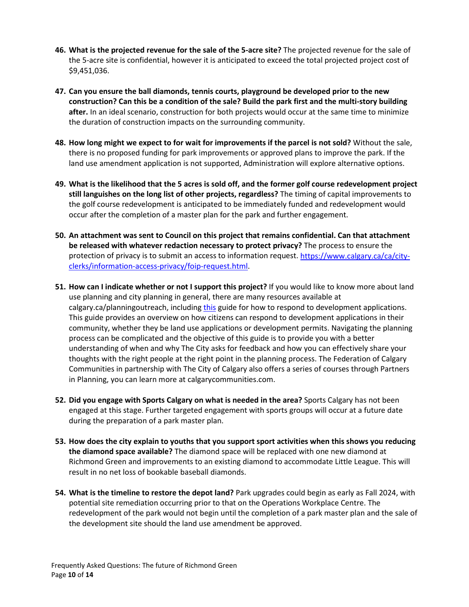- **46. What is the projected revenue for the sale of the 5-acre site?** The projected revenue for the sale of the 5-acre site is confidential, however it is anticipated to exceed the total projected project cost of \$9,451,036.
- **47. Can you ensure the ball diamonds, tennis courts, playground be developed prior to the new construction? Can this be a condition of the sale? Build the park first and the multi-story building after.** In an ideal scenario, construction for both projects would occur at the same time to minimize the duration of construction impacts on the surrounding community.
- **48. How long might we expect to for wait for improvements if the parcel is not sold?** Without the sale, there is no proposed funding for park improvements or approved plans to improve the park. If the land use amendment application is not supported, Administration will explore alternative options.
- **49. What is the likelihood that the 5 acres is sold off, and the former golf course redevelopment project still languishes on the long list of other projects, regardless?** The timing of capital improvements to the golf course redevelopment is anticipated to be immediately funded and redevelopment would occur after the completion of a master plan for the park and further engagement.
- **50. An attachment was sent to Council on this project that remains confidential. Can that attachment be released with whatever redaction necessary to protect privacy?** The process to ensure the protection of privacy is to submit an access to information request. [https://www.calgary.ca/ca/city](https://www.calgary.ca/ca/city-clerks/information-access-privacy/foip-request.html)[clerks/information-access-privacy/foip-request.html.](https://www.calgary.ca/ca/city-clerks/information-access-privacy/foip-request.html)
- **51. How can I indicate whether or not I support this project?** If you would like to know more about land use planning and city planning in general, there are many resources available at calgary.ca/planningoutreach, including [this](https://www.calgary.ca/content/dam/www/pda/pd/documents/community-outreach/community-05-howtorespond.pdf) guide for how to respond to development applications. This guide provides an overview on how citizens can respond to development applications in their community, whether they be land use applications or development permits. Navigating the planning process can be complicated and the objective of this guide is to provide you with a better understanding of when and why The City asks for feedback and how you can effectively share your thoughts with the right people at the right point in the planning process. The Federation of Calgary Communities in partnership with The City of Calgary also offers a series of courses through Partners in Planning, you can learn more at calgarycommunities.com.
- **52. Did you engage with Sports Calgary on what is needed in the area?** Sports Calgary has not been engaged at this stage. Further targeted engagement with sports groups will occur at a future date during the preparation of a park master plan.
- **53. How does the city explain to youths that you support sport activities when this shows you reducing the diamond space available?** The diamond space will be replaced with one new diamond at Richmond Green and improvements to an existing diamond to accommodate Little League. This will result in no net loss of bookable baseball diamonds.
- **54. What is the timeline to restore the depot land?** Park upgrades could begin as early as Fall 2024, with potential site remediation occurring prior to that on the Operations Workplace Centre. The redevelopment of the park would not begin until the completion of a park master plan and the sale of the development site should the land use amendment be approved.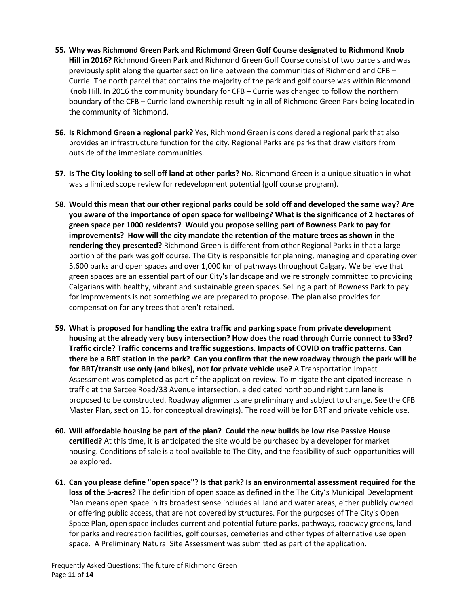- **55. Why was Richmond Green Park and Richmond Green Golf Course designated to Richmond Knob Hill in 2016?** Richmond Green Park and Richmond Green Golf Course consist of two parcels and was previously split along the quarter section line between the communities of Richmond and CFB – Currie. The north parcel that contains the majority of the park and golf course was within Richmond Knob Hill. In 2016 the community boundary for CFB – Currie was changed to follow the northern boundary of the CFB – Currie land ownership resulting in all of Richmond Green Park being located in the community of Richmond.
- **56. Is Richmond Green a regional park?** Yes, Richmond Green is considered a regional park that also provides an infrastructure function for the city. Regional Parks are parks that draw visitors from outside of the immediate communities.
- **57. Is The City looking to sell off land at other parks?** No. Richmond Green is a unique situation in what was a limited scope review for redevelopment potential (golf course program).
- **58. Would this mean that our other regional parks could be sold off and developed the same way? Are you aware of the importance of open space for wellbeing? What is the significance of 2 hectares of green space per 1000 residents? Would you propose selling part of Bowness Park to pay for improvements? How will the city mandate the retention of the mature trees as shown in the rendering they presented?** Richmond Green is different from other Regional Parks in that a large portion of the park was golf course. The City is responsible for planning, managing and operating over 5,600 parks and open spaces and over 1,000 km of pathways throughout Calgary. We believe that green spaces are an essential part of our City's landscape and we're strongly committed to providing Calgarians with healthy, vibrant and sustainable green spaces. Selling a part of Bowness Park to pay for improvements is not something we are prepared to propose. The plan also provides for compensation for any trees that aren't retained.
- **59. What is proposed for handling the extra traffic and parking space from private development housing at the already very busy intersection? How does the road through Currie connect to 33rd? Traffic circle? Traffic concerns and traffic suggestions. Impacts of COVID on traffic patterns. Can there be a BRT station in the park? Can you confirm that the new roadway through the park will be for BRT/transit use only (and bikes), not for private vehicle use?** A Transportation Impact Assessment was completed as part of the application review. To mitigate the anticipated increase in traffic at the Sarcee Road/33 Avenue intersection, a dedicated northbound right turn lane is proposed to be constructed. Roadway alignments are preliminary and subject to change. See the CFB Master Plan, section 15, for conceptual drawing(s). The road will be for BRT and private vehicle use.
- **60. Will affordable housing be part of the plan? Could the new builds be low rise Passive House certified?** At this time, it is anticipated the site would be purchased by a developer for market housing. Conditions of sale is a tool available to The City, and the feasibility of such opportunities will be explored.
- **61. Can you please define "open space"? Is that park? Is an environmental assessment required for the loss of the 5-acres?** The definition of open space as defined in the The City's Municipal Development Plan means open space in its broadest sense includes all land and water areas, either publicly owned or offering public access, that are not covered by structures. For the purposes of The City's Open Space Plan, open space includes current and potential future parks, pathways, roadway greens, land for parks and recreation facilities, golf courses, cemeteries and other types of alternative use open space. A Preliminary Natural Site Assessment was submitted as part of the application.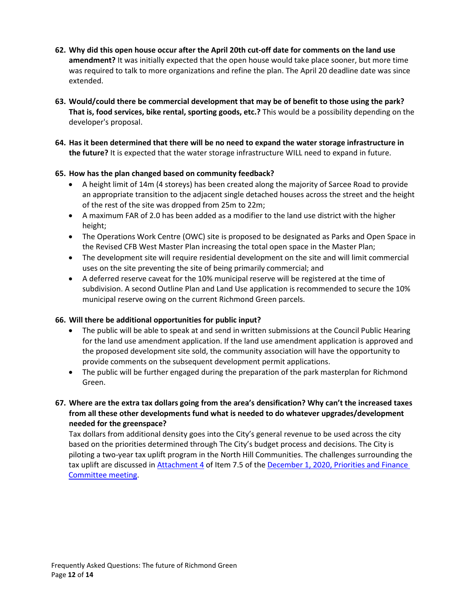- **62. Why did this open house occur after the April 20th cut-off date for comments on the land use amendment?** It was initially expected that the open house would take place sooner, but more time was required to talk to more organizations and refine the plan. The April 20 deadline date was since extended.
- **63. Would/could there be commercial development that may be of benefit to those using the park? That is, food services, bike rental, sporting goods, etc.?** This would be a possibility depending on the developer's proposal.
- **64. Has it been determined that there will be no need to expand the water storage infrastructure in the future?** It is expected that the water storage infrastructure WILL need to expand in future.

## **65. How has the plan changed based on community feedback?**

- A height limit of 14m (4 storeys) has been created along the majority of Sarcee Road to provide an appropriate transition to the adjacent single detached houses across the street and the height of the rest of the site was dropped from 25m to 22m;
- A maximum FAR of 2.0 has been added as a modifier to the land use district with the higher height;
- The Operations Work Centre (OWC) site is proposed to be designated as Parks and Open Space in the Revised CFB West Master Plan increasing the total open space in the Master Plan;
- The development site will require residential development on the site and will limit commercial uses on the site preventing the site of being primarily commercial; and
- A deferred reserve caveat for the 10% municipal reserve will be registered at the time of subdivision. A second Outline Plan and Land Use application is recommended to secure the 10% municipal reserve owing on the current Richmond Green parcels.

## **66. Will there be additional opportunities for public input?**

- The public will be able to speak at and send in written submissions at the Council Public Hearing for the land use amendment application. If the land use amendment application is approved and the proposed development site sold, the community association will have the opportunity to provide comments on the subsequent development permit applications.
- The public will be further engaged during the preparation of the park masterplan for Richmond Green.

## **67. Where are the extra tax dollars going from the area's densification? Why can't the increased taxes from all these other developments fund what is needed to do whatever upgrades/development needed for the greenspace?**

Tax dollars from additional density goes into the City's general revenue to be used across the city based on the priorities determined through The City's budget process and decisions. The City is piloting a two-year tax uplift program in the North Hill Communities. The challenges surrounding the tax uplift are discussed in [Attachment 4](https://pub-calgary.escribemeetings.com/filestream.ashx?DocumentId=147663) of Item 7.5 of the December 1, 2020, Priorities and Finance [Committee meeting.](https://pub-calgary.escribemeetings.com/Meeting.aspx?Id=d928139d-dfd2-4a50-a839-ebd6c7ee9144&Agenda=Agenda&lang=English&Item=35)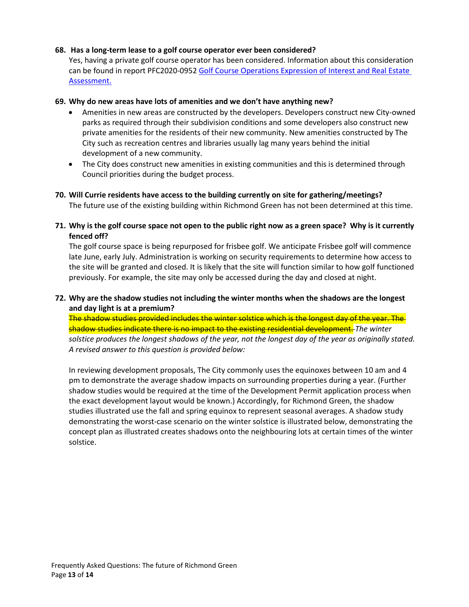#### **68. Has a long-term lease to a golf course operator ever been considered?**

Yes, having a private golf course operator has been considered. Information about this consideration can be found in report PFC2020-095[2 Golf Course Operations Expression](https://pub-calgary.escribemeetings.com/filestream.ashx?DocumentId=144252) of Interest and Real Estate [Assessment.](https://pub-calgary.escribemeetings.com/filestream.ashx?DocumentId=144252)

#### **69. Why do new areas have lots of amenities and we don't have anything new?**

- Amenities in new areas are constructed by the developers. Developers construct new City-owned parks as required through their subdivision conditions and some developers also construct new private amenities for the residents of their new community. New amenities constructed by The City such as recreation centres and libraries usually lag many years behind the initial development of a new community.
- The City does construct new amenities in existing communities and this is determined through Council priorities during the budget process.

# **70. Will Currie residents have access to the building currently on site for gathering/meetings?**

The future use of the existing building within Richmond Green has not been determined at this time.

**71. Why is the golf course space not open to the public right now as a green space? Why is it currently fenced off?**

The golf course space is being repurposed for frisbee golf. We anticipate Frisbee golf will commence late June, early July. Administration is working on security requirements to determine how access to the site will be granted and closed. It is likely that the site will function similar to how golf functioned previously. For example, the site may only be accessed during the day and closed at night.

### **72. Why are the shadow studies not including the winter months when the shadows are the longest and day light is at a premium?**

The shadow studies provided includes the winter solstice which is the longest day of the year. The shadow studies indicate there is no impact to the existing residential development. *The winter solstice produces the longest shadows of the year, not the longest day of the year as originally stated. A revised answer to this question is provided below:*

In reviewing development proposals, The City commonly uses the equinoxes between 10 am and 4 pm to demonstrate the average shadow impacts on surrounding properties during a year. (Further shadow studies would be required at the time of the Development Permit application process when the exact development layout would be known.) Accordingly, for Richmond Green, the shadow studies illustrated use the fall and spring equinox to represent seasonal averages. A shadow study demonstrating the worst-case scenario on the winter solstice is illustrated below, demonstrating the concept plan as illustrated creates shadows onto the neighbouring lots at certain times of the winter solstice.